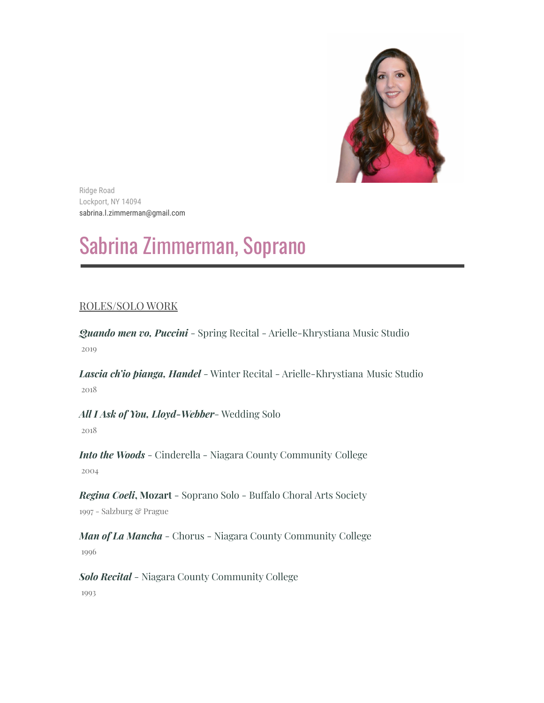

Ridge Road Lockport, NY 14094 sabrina.l.zimmerman@gmail.com

# Sabrina Zimmerman, Soprano

# ROLES/SOLO WORK

*Quando men vo, Puccini* - Spring Recital - Arielle-Khrystiana Music Studio 2019

*Lascia ch'io pianga, Handel* - Winter Recital - Arielle-Khrystiana Music Studio 2018

*All I Ask of You, Lloyd-Webber*- Wedding Solo 2018

*Into the Woods* - Cinderella - Niagara County Community College 2004

*Regina Coeli***, Mozart** - Soprano Solo - Buffalo Choral Arts Society 1997 - Salzburg & Prague

*Man of La Mancha* - Chorus - Niagara County Community College 1996

*Solo Recital* - Niagara County Community College 1993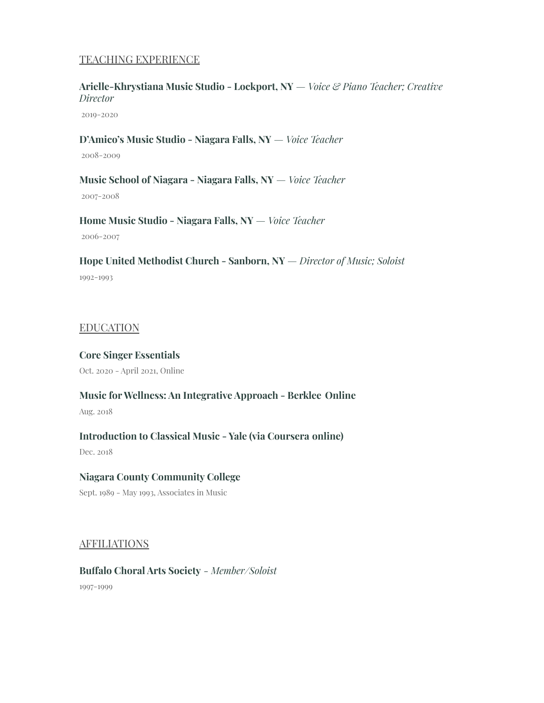## TEACHING EXPERIENCE

## **Arielle-Khrystiana Music Studio - Lockport, NY** *— Voice & Piano Teacher; Creative Director*

2019-2020

#### **D'Amico's Music Studio - Niagara Falls, NY** *— Voice Teacher*

2008-2009

**Music School of Niagara - Niagara Falls, NY** *— Voice Teacher* 2007-2008

**Home Music Studio - Niagara Falls, NY** *— Voice Teacher*

2006-2007

**Hope United Methodist Church - Sanborn, NY** *— Director of Music; Soloist* 1992-1993

#### EDUCATION

# **Core Singer Essentials** Oct. 2020 - April 2021, Online

## **Music for Wellness: An Integrative Approach - Berklee Online**

Aug. 2018

# **Introduction to Classical Music - Yale (via Coursera online)**

Dec. 2018

# **Niagara County Community College**

Sept. 1989 - May 1993, Associates in Music

## AFFILIATIONS

**Buffalo Choral Arts Society** *- Member/Soloist* 1997-1999